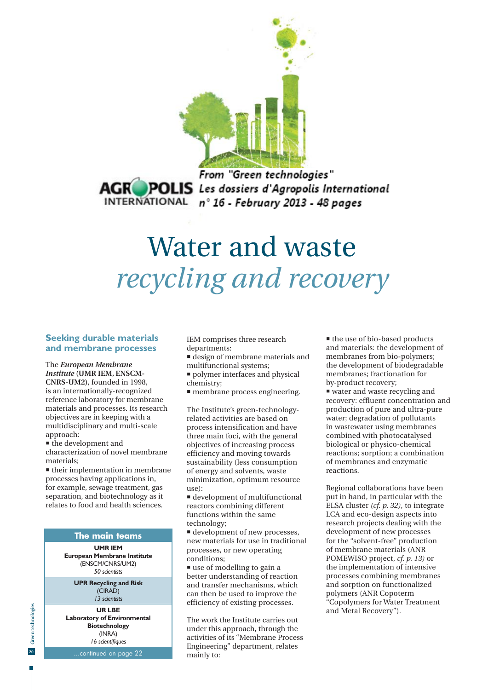

From "Green technologies" **AGROPOLIS** Les dossiers d'Agropolis International INTERNATIONAL n° 16 - February 2013 - 48 pages

# Water and waste *recycling and recovery*

#### **Seeking durable materials and membrane processes**

The *European Membrane Institute* **(UMR IEM, ENSCM-CNRS-UM2)**, founded in 1998, is an internationally-recognized reference laboratory for membrane materials and processes. Its research objectives are in keeping with a multidisciplinary and multi-scale approach:

 $\blacksquare$  the development and characterization of novel membrane materials;

**their implementation in membrane** processes having applications in, for example, sewage treatment, gas separation, and biotechnology as it relates to food and health sciences.

#### **The main teams**

**UMR IEM European Membrane Institute** (ENSCM/CNRS/UM2) *50 scientists*

> **UPR Recycling and Risk**  (CIRAD) *13 scientists*

**UR LBE Laboratory of Environmental Biotechnology** (INRA) *16 scientifiques* 

.continued on page 22

IEM comprises three research departments:

 design of membrane materials and multifunctional systems;

- **polymer interfaces and physical** chemistry;
- membrane process engineering.

The Institute's green-technologyrelated activities are based on process intensification and have three main foci, with the general objectives of increasing process efficiency and moving towards sustainability (less consumption of energy and solvents, waste minimization, optimum resource use):

 development of multifunctional reactors combining different functions within the same technology;

 $\blacksquare$  development of new processes, new materials for use in traditional processes, or new operating conditions;

 use of modelling to gain a better understanding of reaction and transfer mechanisms, which can then be used to improve the efficiency of existing processes.

The work the Institute carries out under this approach, through the activities of its "Membrane Process Engineering" department, relates mainly to:

 $\blacksquare$  the use of bio-based products and materials: the development of membranes from bio-polymers; the development of biodegradable membranes; fractionation for by-product recovery;

■ water and waste recycling and recovery: effluent concentration and production of pure and ultra-pure water; degradation of pollutants in wastewater using membranes combined with photocatalysed biological or physico-chemical reactions; sorption; a combination of membranes and enzymatic reactions.

Regional collaborations have been put in hand, in particular with the ELSA cluster *(cf. p. 32)*, to integrate LCA and eco-design aspects into research projects dealing with the development of new processes for the "solvent-free" production of membrane materials (ANR POMEWISO project, *cf. p. 13)* or the implementation of intensive processes combining membranes and sorption on functionalized polymers (ANR Copoterm "Copolymers for Water Treatment and Metal Recovery").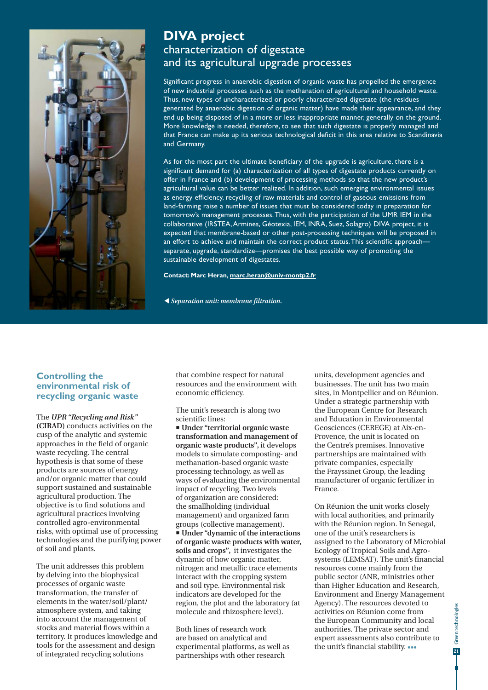

## **DIVA project** characterization of digestate and its agricultural upgrade processes

Significant progress in anaerobic digestion of organic waste has propelled the emergence of new industrial processes such as the methanation of agricultural and household waste. Thus, new types of uncharacterized or poorly characterized digestate (the residues generated by anaerobic digestion of organic matter) have made their appearance, and they end up being disposed of in a more or less inappropriate manner, generally on the ground. More knowledge is needed, therefore, to see that such digestate is properly managed and that France can make up its serious technological deficit in this area relative to Scandinavia and Germany.

As for the most part the ultimate beneficiary of the upgrade is agriculture, there is a significant demand for (a) characterization of all types of digestate products currently on offer in France and (b) development of processing methods so that the new product's agricultural value can be better realized. In addition, such emerging environmental issues as energy efficiency, recycling of raw materials and control of gaseous emissions from land-farming raise a number of issues that must be considered today in preparation for tomorrow's management processes. Thus, with the participation of the UMR IEM in the collaborative (IRSTEA, Armines, Géotexia, IEM, INRA, Suez, Solagro) DIVA project, it is expected that membrane-based or other post-processing techniques will be proposed in an effort to achieve and maintain the correct product status. This scientific approach separate, upgrade, standardize—promises the best possible way of promoting the sustainable development of digestates.

#### **Contact: Marc Heran, marc.heran@univ-montp2.fr**

 *Separation unit: membrane filtration.*

## **Controlling the environmental risk of recycling organic waste**

The *UPR "Recycling and Risk"* **(CIRAD)** conducts activities on the cusp of the analytic and systemic approaches in the field of organic waste recycling. The central hypothesis is that some of these products are sources of energy and/or organic matter that could support sustained and sustainable agricultural production. The objective is to find solutions and agricultural practices involving controlled agro-environmental risks, with optimal use of processing technologies and the purifying power of soil and plants.

The unit addresses this problem by delving into the biophysical processes of organic waste transformation, the transfer of elements in the water/soil/plant/ atmosphere system, and taking into account the management of stocks and material flows within a territory. It produces knowledge and tools for the assessment and design of integrated recycling solutions

that combine respect for natural resources and the environment with economic efficiency.

The unit's research is along two scientific lines:

 **Under "territorial organic waste transformation and management of organic waste products",** it develops models to simulate composting- and methanation-based organic waste processing technology, as well as ways of evaluating the environmental impact of recycling. Two levels of organization are considered: the smallholding (individual management) and organized farm groups (collective management). **Under "dynamic of the interactions of organic waste products with water, soils and crops",** it investigates the dynamic of how organic matter, nitrogen and metallic trace elements interact with the cropping system and soil type. Environmental risk indicators are developed for the region, the plot and the laboratory (at molecule and rhizosphere level).

Both lines of research work are based on analytical and experimental platforms, as well as partnerships with other research

units, development agencies and businesses. The unit has two main sites, in Montpellier and on Réunion. Under a strategic partnership with the European Centre for Research and Education in Environmental Geosciences (CEREGE) at Aix-en-Provence, the unit is located on the Centre's premises. Innovative partnerships are maintained with private companies, especially the Frayssinet Group, the leading manufacturer of organic fertilizer in France.

On Réunion the unit works closely with local authorities, and primarily with the Réunion region. In Senegal, one of the unit's researchers is assigned to the Laboratory of Microbial Ecology of Tropical Soils and Agrosystems (LEMSAT). The unit's financial resources come mainly from the public sector (ANR, ministries other than Higher Education and Research, Environment and Energy Management Agency). The resources devoted to activities on Réunion come from the European Community and local authorities. The private sector and expert assessments also contribute to the unit's financial stability. •••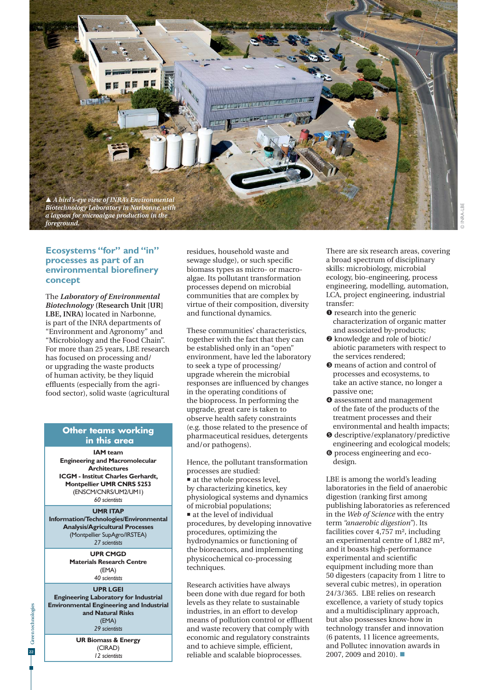

## **Ecosystems "for" and "in" processes as part of an environmental biorefinery concept**

The *Laboratory of Environmental Biotechnology* **(Research Unit [UR] LBE, INRA)** located in Narbonne, is part of the INRA departments of "Environment and Agronomy" and "Microbiology and the Food Chain". For more than 25 years, LBE research has focused on processing and/ or upgrading the waste products of human activity, be they liquid effluents (especially from the agrifood sector), solid waste (agricultural

## **Other teams working in this area**

**IAM team Engineering and Macromolecular Architectures ICGM - Institut Charles Gerhardt, Montpellier UMR CNRS 5253** (ENSCM/CNRS/UM2/UM1) *60 scientists*

**UMR ITAP Information/Technologies/Environmental Analysis/Agricultural Processes** (Montpellier SupAgro/IRSTEA) *27 scientists*

> **UPR CMGD Materials Research Centre** (EMA) *40 scientists*

#### **UPR LGEI**

**Engineering Laboratory for Industrial Environmental Engineering and Industrial and Natural Risks** (EMA) *29 scientists*

> **UR Biomass & Energy** (CIRAD) *12 scientists*

residues, household waste and sewage sludge), or such specific biomass types as micro- or macroalgae. Its pollutant transformation processes depend on microbial communities that are complex by virtue of their composition, diversity and functional dynamics.

These communities' characteristics, together with the fact that they can be established only in an "open" environment, have led the laboratory to seek a type of processing/ upgrade wherein the microbial responses are influenced by changes in the operating conditions of the bioprocess. In performing the upgrade, great care is taken to observe health safety constraints (e.g. those related to the presence of pharmaceutical residues, detergents and/or pathogens).

Hence, the pollutant transformation processes are studied:  $\blacksquare$  at the whole process level, by characterizing kinetics, key physiological systems and dynamics of microbial populations; ■ at the level of individual procedures, by developing innovative procedures, optimizing the hydrodynamics or functioning of

the bioreactors, and implementing physicochemical co-processing techniques.

Research activities have always been done with due regard for both levels as they relate to sustainable industries, in an effort to develop means of pollution control or effluent and waste recovery that comply with economic and regulatory constraints and to achieve simple, efficient, reliable and scalable bioprocesses.

There are six research areas, covering a broad spectrum of disciplinary skills: microbiology, microbial ecology, bio-engineering, process engineering, modelling, automation, LCA, project engineering, industrial transfer:

- $\bullet$  research into the generic characterization of organic matter and associated by-products;
- $\bullet$  knowledge and role of biotic/ abiotic parameters with respect to the services rendered;
- $\bullet$  means of action and control of processes and ecosystems, to take an active stance, no longer a passive one;
- $\bullet$  assessment and management of the fate of the products of the treatment processes and their environmental and health impacts;
- descriptive/explanatory/predictive engineering and ecological models;
- $\bullet$  process engineering and ecodesign.

LBE is among the world's leading laboratories in the field of anaerobic digestion (ranking first among publishing laboratories as referenced in the *Web of Science* with the entry term *"anaerobic digestion"*). Its facilities cover 4,757 m², including an experimental centre of 1,882 m², and it boasts high-performance experimental and scientific equipment including more than 50 digesters (capacity from 1 litre to several cubic metres), in operation 24/3/365. LBE relies on research excellence, a variety of study topics and a multidisciplinary approach, but also possesses know-how in technology transfer and innovation (6 patents, 11 licence agreements, and Pollutec innovation awards in 2007, 2009 and 2010).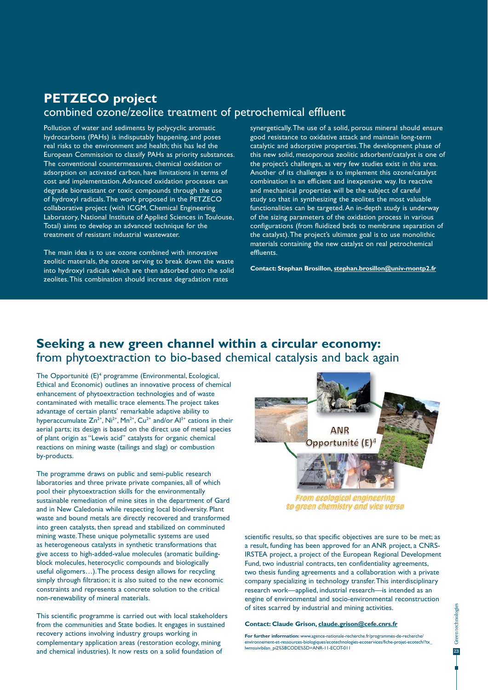## **PETZECO project**  combined ozone/zeolite treatment of petrochemical effluent

Pollution of water and sediments by polycyclic aromatic hydrocarbons (PAHs) is indisputably happening, and poses real risks to the environment and health; this has led the European Commission to classify PAHs as priority substances. The conventional countermeasures, chemical oxidation or adsorption on activated carbon, have limitations in terms of cost and implementation. Advanced oxidation processes can degrade bioresistant or toxic compounds through the use of hydroxyl radicals. The work proposed in the PETZECO collaborative project (with ICGM, Chemical Engineering Laboratory, National Institute of Applied Sciences in Toulouse, Total) aims to develop an advanced technique for the treatment of resistant industrial wastewater.

The main idea is to use ozone combined with innovative zeolitic materials, the ozone serving to break down the waste into hydroxyl radicals which are then adsorbed onto the solid zeolites. This combination should increase degradation rates

synergetically. The use of a solid, porous mineral should ensure good resistance to oxidative attack and maintain long-term catalytic and adsorptive properties. The development phase of this new solid, mesoporous zeolitic adsorbent/catalyst is one of the project's challenges, as very few studies exist in this area. Another of its challenges is to implement this ozone/catalyst combination in an efficient and inexpensive way. Its reactive and mechanical properties will be the subject of careful study so that in synthesizing the zeolites the most valuable functionalities can be targeted. An in-depth study is underway of the sizing parameters of the oxidation process in various configurations (from fluidized beds to membrane separation of the catalyst). The project's ultimate goal is to use monolithic materials containing the new catalyst on real petrochemical effluents.

**Contact: Stephan Brosillon, stephan.brosillon@univ-montp2.fr**

## **Seeking a new green channel within a circular economy:**  from phytoextraction to bio-based chemical catalysis and back again

The Opportunité (E)<sup>4</sup> programme (Environmental, Ecological, Ethical and Economic) outlines an innovative process of chemical enhancement of phytoextraction technologies and of waste contaminated with metallic trace elements. The project takes advantage of certain plants' remarkable adaptive ability to hyperaccumulate  $Zn^{2+}$ , Ni<sup>2+</sup>, Mn<sup>2+</sup>, Cu<sup>2+</sup> and/or Al<sup>3+</sup> cations in their aerial parts; its design is based on the direct use of metal species of plant origin as "Lewis acid" catalysts for organic chemical reactions on mining waste (tailings and slag) or combustion by-products.

The programme draws on public and semi-public research laboratories and three private private companies, all of which pool their phytoextraction skills for the environmentally sustainable remediation of mine sites in the department of Gard and in New Caledonia while respecting local biodiversity. Plant waste and bound metals are directly recovered and transformed into green catalysts, then spread and stabilized on comminuted mining waste. These unique polymetallic systems are used as heterogeneous catalysts in synthetic transformations that give access to high-added-value molecules (aromatic buildingblock molecules, heterocyclic compounds and biologically useful oligomers…). The process design allows for recycling simply through filtration; it is also suited to the new economic constraints and represents a concrete solution to the critical non-renewability of mineral materials.

This scientific programme is carried out with local stakeholders from the communities and State bodies. It engages in sustained recovery actions involving industry groups working in complementary application areas (restoration ecology, mining and chemical industries). It now rests on a solid foundation of



to green chemistry and vice versa

scientific results, so that specific objectives are sure to be met; as a result, funding has been approved for an ANR project, a CNRS-IRSTEA project, a project of the European Regional Development Fund, two industrial contracts, ten confidentiality agreements, two thesis funding agreements and a collaboration with a private company specializing in technology transfer. This interdisciplinary research work—applied, industrial research—is intended as an engine of environmental and socio-environmental reconstruction of sites scarred by industrial and mining activities.

#### **Contact: Claude Grison, claude.grison@cefe.cnrs.fr**

**For further information:** www.agence-nationale-recherche.fr/programmes-de-recherche/ environnement-et-ressources-biologiques/ecotechnologies-ecoservices/fiche-projet-ecotech/?tx\_ lwmsuivibilan\_pi2%5BCODE%5D=ANR-11-ECOT-011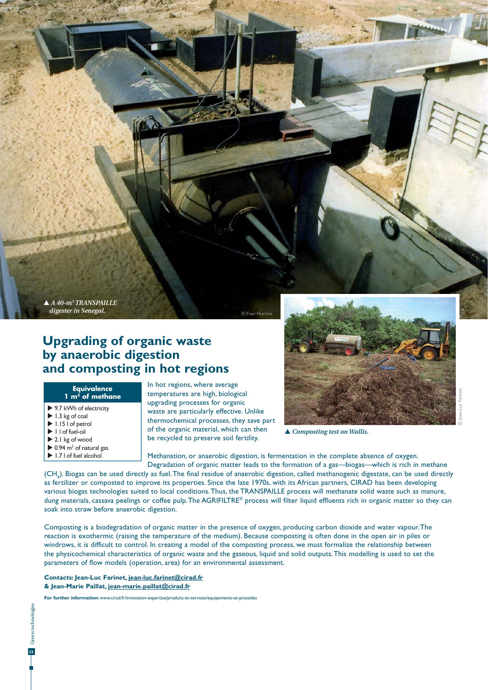*A 40-m3 TRANSPAILLE digester in Senegal.*

# **Upgrading of organic waste by anaerobic digestion and composting in hot regions**

#### **Equivalence**  1 m<sup>3</sup> of methane

- ▶ 9.7 kWh of electricity
- $\blacktriangleright$  1.3 kg of coal
- $\blacktriangleright$  1.15 l of petrol
- $\blacktriangleright$   $\sqcup$  of fuel-oil
- ▶ 2.1 kg of wood
- $\triangleright$  0.94 m<sup>3</sup> of natural gas ▶ 1.7 l of fuel alcohol

In hot regions, where average temperatures are high, biological upgrading processes for organic waste are particularly effective. Unlike thermochemical processes, they save part of the organic material, which can then be recycled to preserve soil fertility.

Methanation, or anaerobic digestion, is fermentation in the complete absence of oxygen. Degradation of organic matter leads to the formation of a gas—biogas—which is rich in methane

 $(\mathsf{CH}_4)$ . Biogas can be used directly as fuel. The final residue of anaerobic digestion, called methanogenic digestate, can be used directly as fertilizer or composted to improve its properties. Since the late 1970s, with its African partners, CIRAD has been developing various biogas technologies suited to local conditions. Thus, the TRANSPAILLE process will methanate solid waste such as manure, dung materials, cassava peelings or coffee pulp. The AGRIFILTRE® process will filter liquid effluents rich in organic matter so they can soak into straw before anaerobic digestion.

© Yvan Hurv

Composting is a biodegradation of organic matter in the presence of oxygen, producing carbon dioxide and water vapour. The reaction is exothermic (raising the temperature of the medium). Because composting is often done in the open air in piles or windrows, it is difficult to control. In creating a model of the composting process, we must formalize the relationship between the physicochemical characteristics of organic waste and the gaseous, liquid and solid outputs. This modelling is used to set the parameters of flow models (operation, area) for an environmental assessment.

**Contacts: Jean-Luc Farinet, jean-luc.farinet@cirad.fr & Jean-Marie Paillat, jean-marie.paillat@cirad.fr**

**For further information:** www.cirad.fr/innovation-expertise/produits-et-services/equipements-et-procedes



 *Composting test on Wallis.*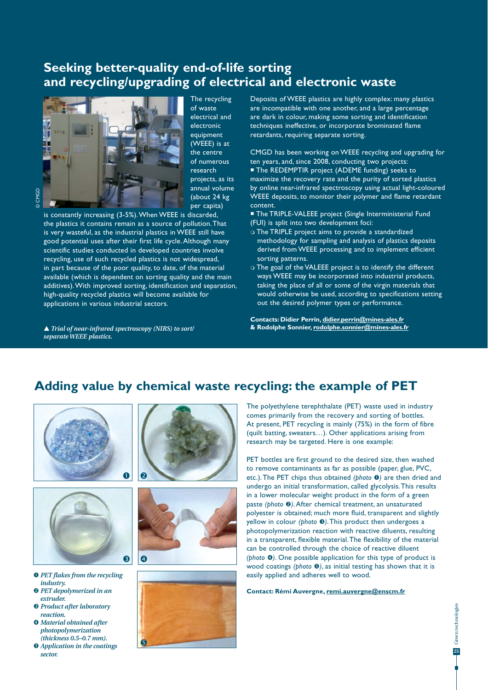# **Seeking better-quality end-of-life sorting and recycling/upgrading of electrical and electronic waste**



The recycling of waste electrical and electronic equipment (WEEE) is at the centre of numerous research projects, as its annual volume (about 24 kg per capita)

is constantly increasing (3-5%). When WEEE is discarded, the plastics it contains remain as a source of pollution. That is very wasteful, as the industrial plastics in WEEE still have good potential uses after their first life cycle. Although many scientific studies conducted in developed countries involve recycling, use of such recycled plastics is not widespread, in part because of the poor quality, to date, of the material available (which is dependent on sorting quality and the main additives). With improved sorting, identification and separation, high-quality recycled plastics will become available for applications in various industrial sectors.

 *Trial of near-infrared spectroscopy (NIRS) to sort/ separate WEEE plastics.* 

Deposits of WEEE plastics are highly complex: many plastics are incompatible with one another, and a large percentage are dark in colour, making some sorting and identification techniques ineffective, or incorporate brominated flame retardants, requiring separate sorting.

CMGD has been working on WEEE recycling and upgrading for ten years, and, since 2008, conducting two projects: ■ The REDEMPTIR project (ADEME funding) seeks to maximize the recovery rate and the purity of sorted plastics by online near-infrared spectroscopy using actual light-coloured WEEE deposits, to monitor their polymer and flame retardant content.

**The TRIPLE-VALEEE project (Single Interministerial Fund** (FUI) is split into two development foci:

- The TRIPLE project aims to provide a standardized methodology for sampling and analysis of plastics deposits derived from WEEE processing and to implement efficient sorting patterns.
- The goal of the VALEEE project is to identify the different ways WEEE may be incorporated into industrial products, taking the place of all or some of the virgin materials that would otherwise be used, according to specifications setting out the desired polymer types or performance.

**Contacts: Didier Perrin, didier.perrin@mines-ales.fr & Rodolphe Sonnier, rodolphe.sonnier@mines-ales.fr**

# **Adding value by chemical waste recycling: the example of PET**





- *PET flakes from the recycling industry. PET depolymerized in an*
- *extruder.*
- *Product after laboratory reaction.*
- *Material obtained after photopolymerization (thickness 0.5–0.7 mm).*
- *Application in the coatings sector.*







The polyethylene terephthalate (PET) waste used in industry comes primarily from the recovery and sorting of bottles. At present, PET recycling is mainly (75%) in the form of fibre (quilt batting, sweaters…). Other applications arising from research may be targeted. Here is one example:

PET bottles are first ground to the desired size, then washed to remove contaminants as far as possible (paper, glue, PVC, etc.). The PET chips thus obtained *(photo )* are then dried and undergo an initial transformation, called glycolysis. This results in a lower molecular weight product in the form of a green paste *(photo )*. After chemical treatment, an unsaturated polyester is obtained; much more fluid, transparent and slightly yellow in colour *(photo )*. This product then undergoes a photopolymerization reaction with reactive diluents, resulting in a transparent, flexible material. The flexibility of the material can be controlled through the choice of reactive diluent *(photo )*. One possible application for this type of product is wood coatings (photo  $\Theta$ ), as initial testing has shown that it is easily applied and adheres well to wood.

**Contact: Rémi Auvergne, remi.auvergne@enscm.fr**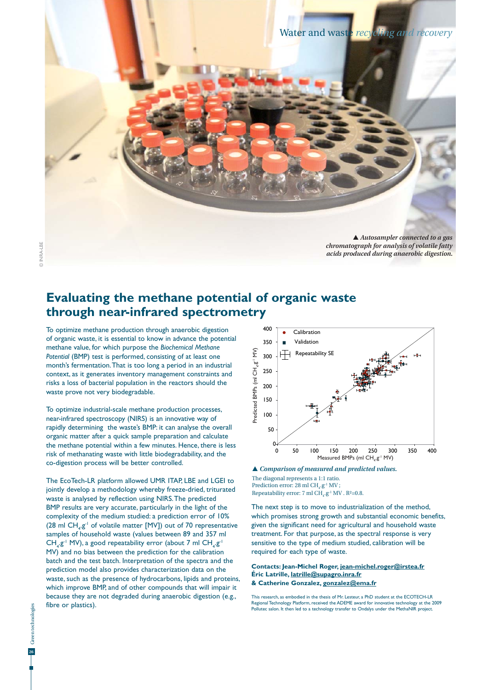

*acids produced during anaerobic digestion.* 

## **Evaluating the methane potential of organic waste through near-infrared spectrometry**

To optimize methane production through anaerobic digestion of organic waste, it is essential to know in advance the potential methane value, for which purpose the *Biochemical Methane Potential* (BMP) test is performed, consisting of at least one month's fermentation. That is too long a period in an industrial context, as it generates inventory management constraints and risks a loss of bacterial population in the reactors should the waste prove not very biodegradable.

To optimize industrial-scale methane production processes, near-infrared spectroscopy (NIRS) is an innovative way of rapidly determining the waste's BMP: it can analyse the overall organic matter after a quick sample preparation and calculate the methane potential within a few minutes. Hence, there is less risk of methanating waste with little biodegradability, and the co-digestion process will be better controlled.

The EcoTech-LR platform allowed UMR ITAP, LBE and LGEI to jointly develop a methodology whereby freeze-dried, triturated waste is analysed by reflection using NIRS. The predicted BMP results are very accurate, particularly in the light of the complexity of the medium studied: a prediction error of 10% (28 ml  $CH_4 \cdot g^{-1}$  of volatile matter [MV]) out of 70 representative samples of household waste (values between 89 and 357 ml  $CH_4 \cdot g^{-1}$  MV), a good repeatability error (about 7 ml  $CH_4 \cdot g^{-1}$ MV) and no bias between the prediction for the calibration batch and the test batch. Interpretation of the spectra and the prediction model also provides characterization data on the waste, such as the presence of hydrocarbons, lipids and proteins, which improve BMP, and of other compounds that will impair it because they are not degraded during anaerobic digestion (e.g., fibre or plastics).



 *Comparison of measured and predicted values.*

The diagonal represents a 1:1 ratio. Prediction error: 28 ml  $CH_4 \cdot g^1 MV$ ; Repeatability error: 7 ml  $CH_4 \cdot g^{-1}$  MV . R<sup>2</sup>=0.8.

The next step is to move to industrialization of the method, which promises strong growth and substantial economic benefits, given the significant need for agricultural and household waste treatment. For that purpose, as the spectral response is very sensitive to the type of medium studied, calibration will be required for each type of waste.

#### **Contacts: Jean-Michel Roger, jean-michel.roger@irstea.fr Éric Latrille, latrille@supagro.inra.fr & Catherine Gonzalez, gonzalez@ema.fr**

This research, as embodied in the thesis of Mr. Lesteur, a PhD student at the ECOTECH-LR Regional Technology Platform, received the ADEME award for innovative technology at the 2009 Pollutec salon. It then led to a technology transfer to Ondalys under the MethaNIR project.